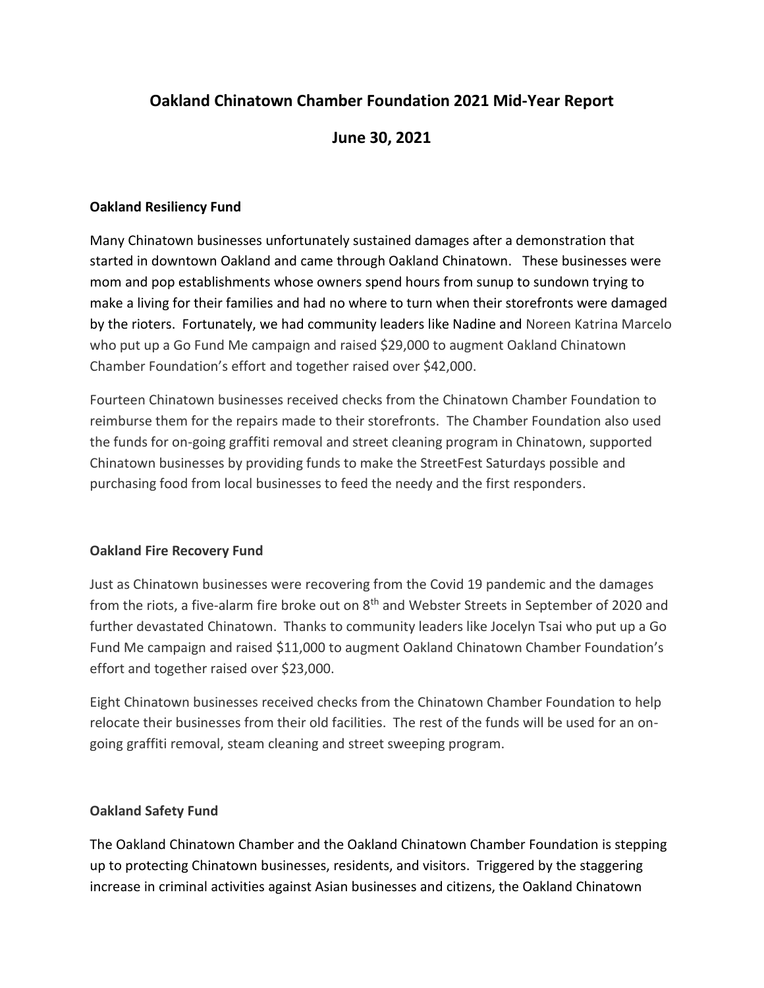# **Oakland Chinatown Chamber Foundation 2021 Mid-Year Report**

# **June 30, 2021**

## **Oakland Resiliency Fund**

Many Chinatown businesses unfortunately sustained damages after a demonstration that started in downtown Oakland and came through Oakland Chinatown. These businesses were mom and pop establishments whose owners spend hours from sunup to sundown trying to make a living for their families and had no where to turn when their storefronts were damaged by the rioters. Fortunately, we had community leaders like Nadine and Noreen Katrina Marcelo who put up a Go Fund Me campaign and raised \$29,000 to augment Oakland Chinatown Chamber Foundation's effort and together raised over \$42,000.

Fourteen Chinatown businesses received checks from the Chinatown Chamber Foundation to reimburse them for the repairs made to their storefronts. The Chamber Foundation also used the funds for on-going graffiti removal and street cleaning program in Chinatown, supported Chinatown businesses by providing funds to make the StreetFest Saturdays possible and purchasing food from local businesses to feed the needy and the first responders.

#### **Oakland Fire Recovery Fund**

Just as Chinatown businesses were recovering from the Covid 19 pandemic and the damages from the riots, a five-alarm fire broke out on  $8<sup>th</sup>$  and Webster Streets in September of 2020 and further devastated Chinatown. Thanks to community leaders like Jocelyn Tsai who put up a Go Fund Me campaign and raised \$11,000 to augment Oakland Chinatown Chamber Foundation's effort and together raised over \$23,000.

Eight Chinatown businesses received checks from the Chinatown Chamber Foundation to help relocate their businesses from their old facilities. The rest of the funds will be used for an ongoing graffiti removal, steam cleaning and street sweeping program.

#### **Oakland Safety Fund**

The Oakland Chinatown Chamber and the Oakland Chinatown Chamber Foundation is stepping up to protecting Chinatown businesses, residents, and visitors. Triggered by the staggering increase in criminal activities against Asian businesses and citizens, the Oakland Chinatown